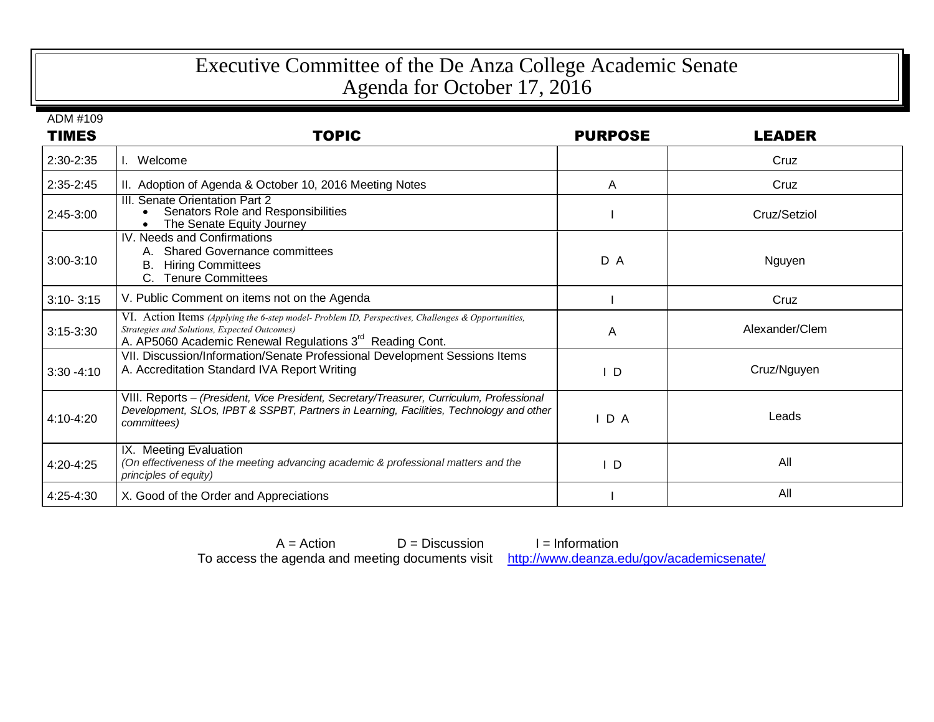## Executive Committee of the De Anza College Academic Senate Agenda for October 17, 2016

ADM #109

| <b>TIMES</b>  | <b>TOPIC</b>                                                                                                                                                                                                              | <b>PURPOSE</b> | <b>LEADER</b>  |
|---------------|---------------------------------------------------------------------------------------------------------------------------------------------------------------------------------------------------------------------------|----------------|----------------|
| 2:30-2:35     | Welcome                                                                                                                                                                                                                   |                | Cruz           |
| $2:35-2:45$   | II. Adoption of Agenda & October 10, 2016 Meeting Notes                                                                                                                                                                   | A              | Cruz           |
| 2:45-3:00     | III. Senate Orientation Part 2<br>Senators Role and Responsibilities<br>The Senate Equity Journey                                                                                                                         |                | Cruz/Setziol   |
| $3:00-3:10$   | IV. Needs and Confirmations<br><b>Shared Governance committees</b><br>В.<br><b>Hiring Committees</b><br>C. Tenure Committees                                                                                              | D A            | Nguyen         |
| $3:10 - 3:15$ | V. Public Comment on items not on the Agenda                                                                                                                                                                              |                | Cruz           |
| $3:15-3:30$   | VI. Action Items (Applying the 6-step model-Problem ID, Perspectives, Challenges & Opportunities,<br>Strategies and Solutions, Expected Outcomes)<br>A. AP5060 Academic Renewal Regulations 3 <sup>rd</sup> Reading Cont. | A              | Alexander/Clem |
| $3:30 - 4:10$ | VII. Discussion/Information/Senate Professional Development Sessions Items<br>A. Accreditation Standard IVA Report Writing                                                                                                | D              | Cruz/Nguyen    |
| 4:10-4:20     | VIII. Reports - (President, Vice President, Secretary/Treasurer, Curriculum, Professional<br>Development, SLOs, IPBT & SSPBT, Partners in Learning, Facilities, Technology and other<br>committees)                       | $I$ D A        | Leads          |
| 4:20-4:25     | IX. Meeting Evaluation<br>(On effectiveness of the meeting advancing academic & professional matters and the<br>principles of equity)                                                                                     | ID.            | All            |
| 4:25-4:30     | X. Good of the Order and Appreciations                                                                                                                                                                                    |                | All            |

 $A = Action$  D = Discussion I = Information To access the agenda and meeting documents visit <http://www.deanza.edu/gov/academicsenate/>